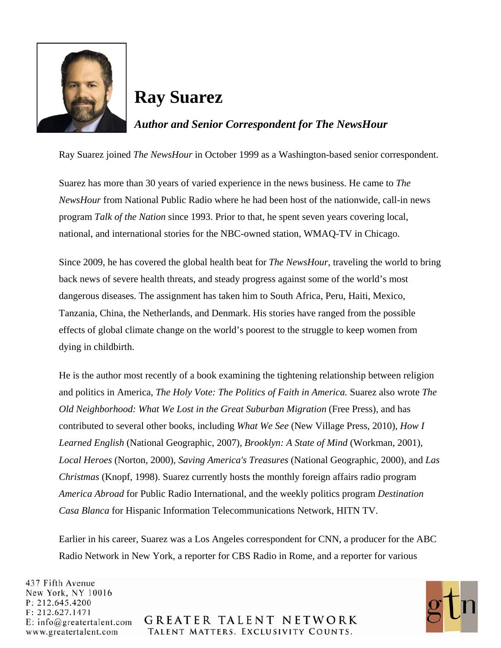

## **Ray Suarez**

*Author and Senior Correspondent for The NewsHour* 

Ray Suarez joined *The NewsHour* in October 1999 as a Washington-based senior correspondent.

Suarez has more than 30 years of varied experience in the news business. He came to *The NewsHour* from National Public Radio where he had been host of the nationwide, call-in news program *Talk of the Nation* since 1993. Prior to that, he spent seven years covering local, national, and international stories for the NBC-owned station, WMAQ-TV in Chicago.

Since 2009, he has covered the global health beat for *The NewsHour*, traveling the world to bring back news of severe health threats, and steady progress against some of the world's most dangerous diseases. The assignment has taken him to South Africa, Peru, Haiti, Mexico, Tanzania, China, the Netherlands, and Denmark. His stories have ranged from the possible effects of global climate change on the world's poorest to the struggle to keep women from dying in childbirth.

He is the author most recently of a book examining the tightening relationship between religion and politics in America, *The Holy Vote: The Politics of Faith in America.* Suarez also wrote *The Old Neighborhood: What We Lost in the Great Suburban Migration* (Free Press), and has contributed to several other books, including *What We See* (New Village Press, 2010), *How I Learned English* (National Geographic, 2007), *Brooklyn: A State of Mind* (Workman, 2001), *Local Heroes* (Norton, 2000), *Saving America's Treasures* (National Geographic, 2000), and *Las Christmas* (Knopf, 1998). Suarez currently hosts the monthly foreign affairs radio program *America Abroad* for Public Radio International, and the weekly politics program *Destination Casa Blanca* for Hispanic Information Telecommunications Network, HITN TV.

Earlier in his career, Suarez was a Los Angeles correspondent for CNN, a producer for the ABC Radio Network in New York, a reporter for CBS Radio in Rome, and a reporter for various

437 Fifth Avenue New York, NY 10016 P: 212.645.4200 F: 212.627.1471  $E: info@greatest talent.com$ www.greatertalent.com



**GREATER TALENT NETWORK** TALENT MATTERS. EXCLUSIVITY COUNTS.